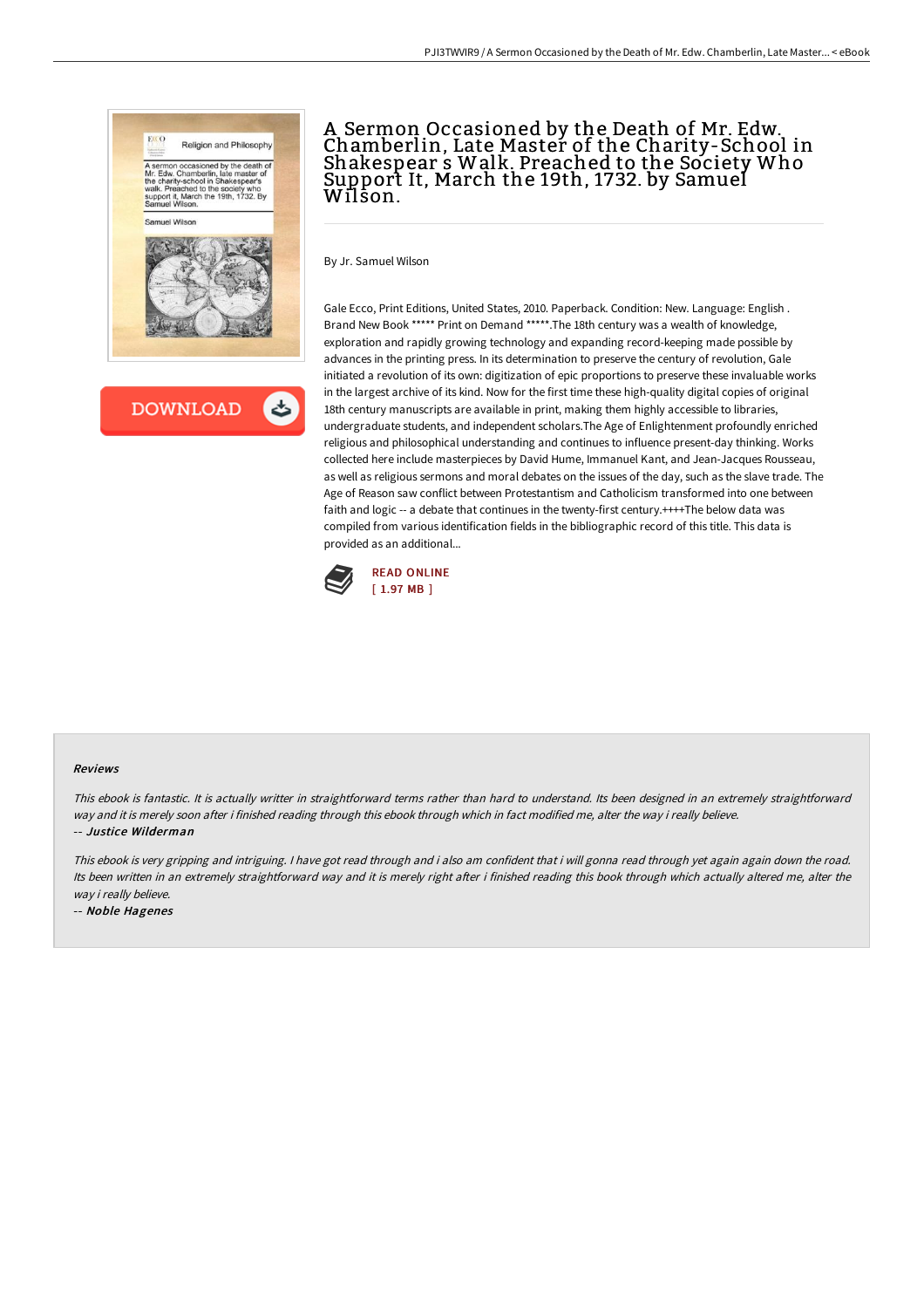

**DOWNLOAD** 

# A Sermon Occasioned by the Death of Mr. Edw. Chamberlin, Late Master of the Charity-School in Shakespear s Walk. Preached to the Society Who Support It, March the 19th, 1732. by Samuel Wilson.

By Jr. Samuel Wilson

Gale Ecco, Print Editions, United States, 2010. Paperback. Condition: New. Language: English . Brand New Book \*\*\*\*\* Print on Demand \*\*\*\*\*.The 18th century was a wealth of knowledge, exploration and rapidly growing technology and expanding record-keeping made possible by advances in the printing press. In its determination to preserve the century of revolution, Gale initiated a revolution of its own: digitization of epic proportions to preserve these invaluable works in the largest archive of its kind. Now for the first time these high-quality digital copies of original 18th century manuscripts are available in print, making them highly accessible to libraries, undergraduate students, and independent scholars.The Age of Enlightenment profoundly enriched religious and philosophical understanding and continues to influence present-day thinking. Works collected here include masterpieces by David Hume, Immanuel Kant, and Jean-Jacques Rousseau, as well as religious sermons and moral debates on the issues of the day, such as the slave trade. The Age of Reason saw conflict between Protestantism and Catholicism transformed into one between faith and logic -- a debate that continues in the twenty-first century.++++The below data was compiled from various identification fields in the bibliographic record of this title. This data is provided as an additional...



#### Reviews

This ebook is fantastic. It is actually writter in straightforward terms rather than hard to understand. Its been designed in an extremely straightforward way and it is merely soon after i finished reading through this ebook through which in fact modified me, alter the way i really believe. -- Justice Wilderman

This ebook is very gripping and intriguing. <sup>I</sup> have got read through and i also am confident that i will gonna read through yet again again down the road. Its been written in an extremely straightforward way and it is merely right after i finished reading this book through which actually altered me, alter the way i really believe.

-- Noble Hagenes